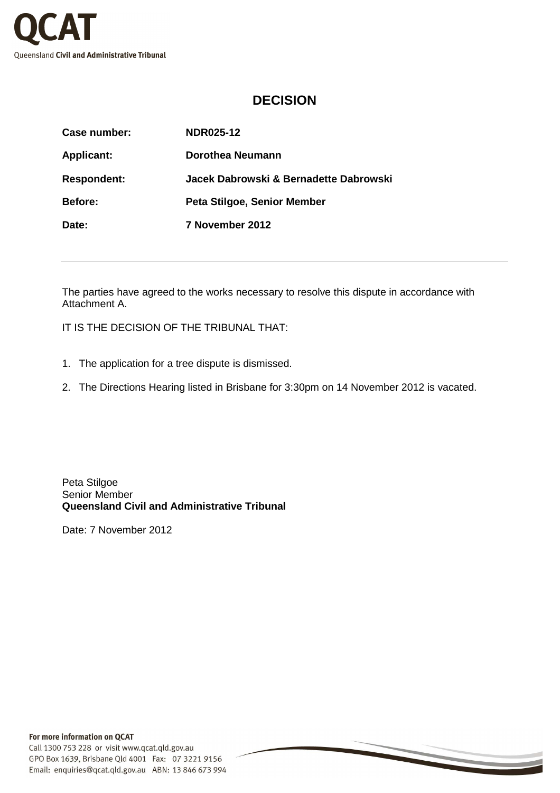

## **DECISION**

| Case number:       | NDR025-12                              |
|--------------------|----------------------------------------|
| <b>Applicant:</b>  | Dorothea Neumann                       |
| <b>Respondent:</b> | Jacek Dabrowski & Bernadette Dabrowski |
| <b>Before:</b>     | Peta Stilgoe, Senior Member            |
| Date:              | 7 November 2012                        |

The parties have agreed to the works necessary to resolve this dispute in accordance with Attachment A.

IT IS THE DECISION OF THE TRIBUNAL THAT:

- 1. The application for a tree dispute is dismissed.
- 2. The Directions Hearing listed in Brisbane for 3:30pm on 14 November 2012 is vacated.

Peta Stilgoe Senior Member **Queensland Civil and Administrative Tribunal** 

Date: 7 November 2012